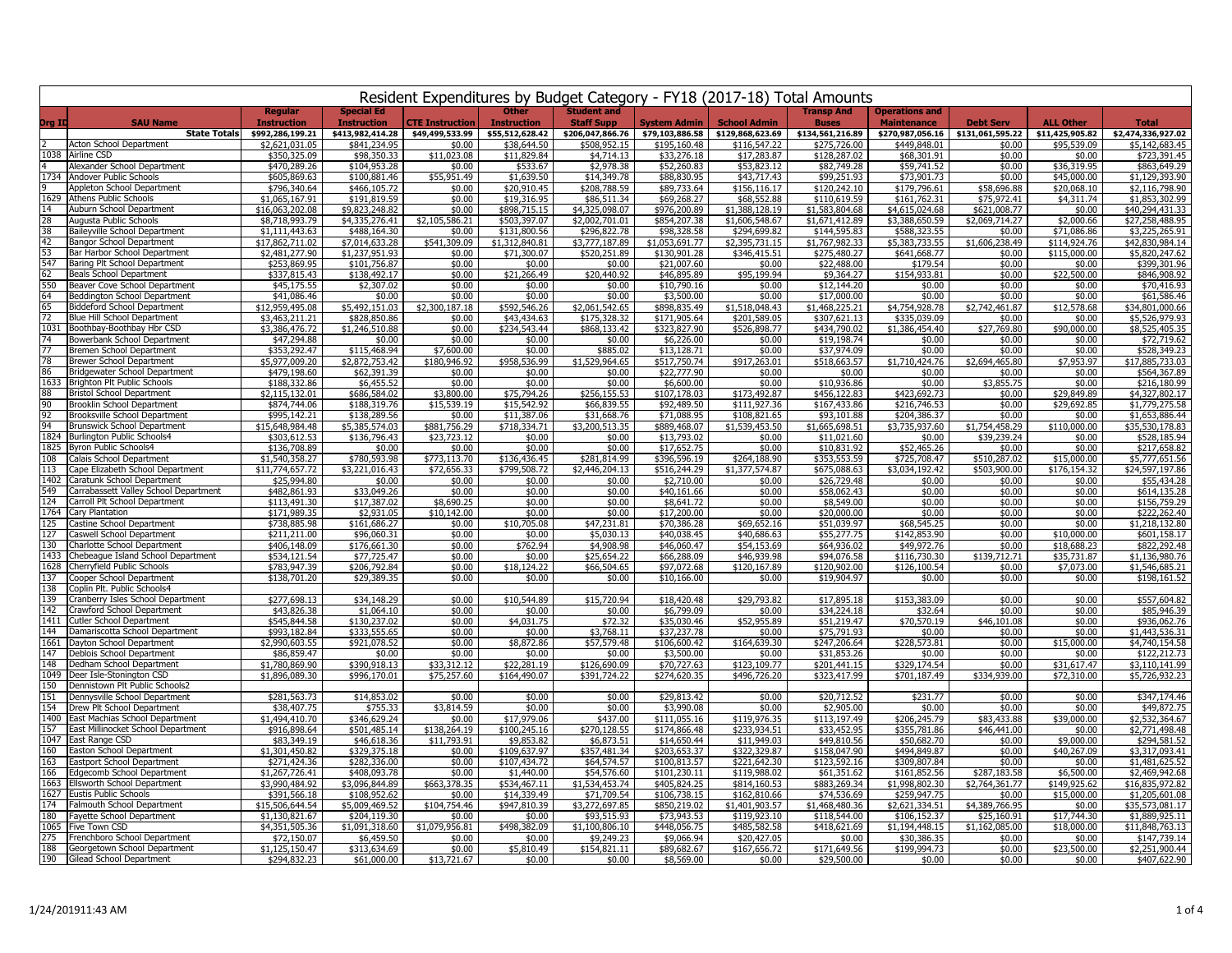|            | Resident Expenditures by Budget Category - FY18 (2017-18) Total Amounts  |                                      |                                         |                             |                                    |                                           |                              |                                |                                   |                                             |                               |                             |                                   |
|------------|--------------------------------------------------------------------------|--------------------------------------|-----------------------------------------|-----------------------------|------------------------------------|-------------------------------------------|------------------------------|--------------------------------|-----------------------------------|---------------------------------------------|-------------------------------|-----------------------------|-----------------------------------|
| Org ID     | <b>SAU Name</b>                                                          | <b>Regular</b><br><b>Tnstruction</b> | <b>Special Ed</b><br><b>Instruction</b> | <b>CTE Instruction</b>      | <b>Other</b><br><b>Instruction</b> | <b>Student and</b><br><b>Staff Supp</b>   | <b>System Admin</b>          | <b>School Admin</b>            | <b>Transp And</b><br><b>Buses</b> | <b>Operations and</b><br><b>Maintenance</b> | <b>Debt Serv</b>              | <b>ALL Other</b>            | Total                             |
|            | <b>State Totals</b>                                                      | \$992,286,199.21                     | \$413,982,414.28                        | \$49,499,533.99             | \$55,512,628.42                    | \$206,047,866.76                          | \$79,103,886.58              | \$129,868,623.69               | \$134,561,216.89                  | \$270,987,056.16                            | \$131,061,595.22              | \$11,425,905.82             | \$2,474,336,927.02                |
|            | Acton School Department                                                  | \$2,621,031.05                       | \$841,234.95                            | \$0.00                      | \$38,644.50                        | \$508,952.15                              | \$195,160.48                 | \$116,547.22                   | \$275,726.00                      | \$449,848.01                                | \$0.00                        | \$95,539.09                 | \$5,142,683.45                    |
| 1038       | <b>Airline CSD</b>                                                       | \$350,325.09                         | \$98,350.33                             | 023.08<br>\$11              | \$11,829.84                        | \$4,714.13                                | \$33,276.18                  | \$17,283.87                    | \$128,287.02                      | \$68,301.91                                 | \$0.00                        | \$0.00                      | \$723,391.45                      |
|            | Alexander School Department<br>1734 Andover Public Schools               | \$470,289.26<br>\$605,869.63         | \$104,953.28<br>\$100,881.46            | \$0.00<br>\$55,951.49       | \$533.67<br>\$1,639.50             | \$2,978.38<br>\$14,349.78                 | \$52,260.83<br>\$88,830.95   | \$53,823.12<br>\$43,717.43     | \$82,749.28<br>\$99,251.93        | \$59,741.52<br>\$73,901.73                  | \$0.00<br>\$0.00              | \$36,319.95<br>\$45,000.00  | \$863,649.29<br>\$1,129,393.90    |
|            | Appleton School Department                                               | \$796,340.64                         | \$466,105.72                            | \$0.00                      | \$20,910.45                        | \$208,788.59                              | \$89,733.64                  | \$156,116.17                   | \$120,242.10                      | \$179,796.61                                | \$58,696.88                   | \$20,068.10                 | \$2,116,798.90                    |
| 1629       | Athens Public Schools                                                    | \$1,065,167.91                       | \$191,819.59                            | \$0.00                      | \$19,316.95                        | \$86,511.34                               | \$69,268.27                  | \$68,552.88                    | \$110,619.59                      | \$161,762.31                                | \$75,972.41                   | \$4,311.74                  | \$1,853,302.99                    |
| 14         | Auburn School Department                                                 | \$16,063,202.08                      | \$9,823,248.82                          | \$0.00                      | \$898,715.15                       | \$4,325,098.07                            | \$976,200.89                 | \$1,388,128.19                 | \$1,583,804.68                    | \$4,615,024.68                              | \$621,008.77                  | \$0.00                      | \$40,294,431.33                   |
| 28<br>38   | Augusta Public Schools<br>Baileyville School Department                  | \$8,718,993.79<br>\$1,111,443.63     | \$4,335,276.41<br>\$488,164.30          | \$2,105,586.21<br>\$0.00    | \$503,397.07<br>\$131,800.56       | \$2,002,701.01<br>\$296,822.78            | \$854,207.38<br>\$98,328.58  | \$1,606,548.67<br>\$294,699.82 | \$1,671,412.89<br>\$144,595.83    | \$3,388,650.59<br>\$588,323.55              | \$2,069,714.27<br>\$0.00      | \$2,000.66<br>\$71,086.86   | \$27,258,488.95<br>\$3,225,265.91 |
| 42         | Bangor School Department                                                 | \$17,862,711.02                      | \$7,014,633.28                          | \$541,309.09                | \$1,312,840.81                     | \$3,777,187.89                            | \$1,053,691.77               | \$2,395,731.15                 | \$1,767,982.33                    | \$5,383,733.55                              | \$1,606,238.49                | \$114,924.76                | \$42,830,984.14                   |
| 53         | Bar Harbor School Department                                             | \$2,481,277.90                       | \$1,237,951.93                          | \$0.00                      | \$71,300.07                        | \$520,251.89                              | \$130,901.28                 | \$346,415.51                   | \$275,480.27                      | \$641,668.77                                | \$0.00                        | \$115,000.00                | \$5,820,247.62                    |
| 547        | Baring Plt School Department                                             | \$253,869.95                         | \$101,756.87                            | \$0.00                      | \$0.00                             | \$0.00                                    | \$21,007.60                  | \$0.00                         | \$22,488.00                       | \$179.54                                    | \$0.00                        | \$0.00                      | \$399,301.96                      |
| 62<br>550  | Beals School Department<br>Beaver Cove School Department                 | \$337.815.43<br>\$45,175.55          | \$138,492.17<br>\$2,307.02              | \$0.00<br>\$0.00            | \$21,266.49<br>\$0.00              | \$20,440.92<br>\$0.00                     | \$46,895.89<br>\$10,790.16   | \$95,199.94<br>\$0.00          | \$9,364.27<br>\$12,144,20         | \$154,933.81<br>\$0.00                      | \$0.00<br>\$0.00              | \$22,500.00<br>\$0.00       | \$846,908.92<br>\$70,416.93       |
| 64         | Beddington School Department                                             | \$41.086.46                          | \$0.00                                  | \$0.00                      | \$0.00                             | \$0.00                                    | \$3,500.00                   | \$0.00                         | \$17,000.00                       | \$0.00                                      | \$0.00                        | \$0.00                      | \$61,586.46                       |
| 65         | <b>Biddeford School Department</b>                                       | \$12,959,495.08                      | \$5,492,151.03                          | \$2,300,187.18              | \$592,546.26                       | \$2,061,542.65                            | \$898,835.49                 | \$1,518,048.43                 | \$1,468,225.21                    | \$4,754,928.78                              | \$2,742,461.87                | \$12,578.68                 | \$34,801,000.66                   |
| 72         | Blue Hill School Department                                              | \$3,463,211.21                       | \$828,850.86                            | \$0.00                      | \$43,434.63                        | \$175,328.32                              | \$171,905.64                 | \$201,589.05                   | \$307,621.13                      | \$335,039.09                                | \$0.00                        | \$0.00                      | \$5,526,979.93                    |
| 1031<br>74 | Boothbay-Boothbay Hbr CSD<br>Bowerbank School Department                 | \$3,386,476.72<br>\$47,294.88        | \$1,246,510.88<br>\$0.00                | \$0.00<br>\$0.00            | \$234,543.44<br>\$0.00             | \$868,133.42<br>\$0.00                    | \$323,827.90<br>\$6,226.00   | \$526,898.77<br>\$0.00         | \$434,790.02<br>\$19,198.74       | $\overline{$1,386,454.40}$<br>\$0.00        | \$27,769.80<br>\$0.00         | \$90,000.00<br>\$0.00       | \$8,525,405.35<br>\$72,719.62     |
|            | Bremen School Department                                                 | \$353,292.47                         | \$115,468.94                            | \$7,600.00                  | \$0.00                             | \$885.02                                  | \$13,128.71                  | \$0.00                         | \$37,974.09                       | \$0.00                                      | \$0.00                        | \$0.00                      | \$528,349.23                      |
| 78         | <b>Brewer School Department</b>                                          | \$5,977,009.20                       | \$2,872,753.42                          | \$180,946.92                | \$958,536.99                       | \$1,529,964.65                            | \$517.750.74                 | \$917,263.01                   | \$518,663.57                      | \$1,710,424.76                              | \$2,694,465.80                | \$7,953.97                  | \$17,885,733,03                   |
| 86<br>1633 | Bridgewater School Department<br>Brighton Plt Public Schools             | \$479,198.60                         | \$62,391.39                             | \$0.00                      | \$0.00                             | \$0.00                                    | \$22,777.90                  | \$0.00<br>\$0.00               | \$0.00                            | \$0.00<br>\$0.00                            | \$0.00                        | \$0.00<br>\$0.00            | \$564,367.89                      |
| 88         | <b>Bristol School Department</b>                                         | \$188,332.86<br>\$2,115,132.01       | \$6,455.52<br>\$686,584.02              | \$0.00<br>\$3,800.00        | \$0.00<br>\$75,794.26              | \$0.00<br>\$256,155.53                    | \$6,600.00<br>\$107,178.03   | \$173,492.87                   | \$10,936.86<br>\$456,122.83       | \$423,692.73                                | \$3,855.75<br>\$0.00          | \$29,849.89                 | \$216,180.99<br>\$4,327,802.17    |
| 90         | Brooklin School Department                                               | \$874,744.06                         | \$188,319.76                            | \$15,539.19                 | \$15,542.92                        | \$66,839.55                               | \$92,489.50                  | \$111.927.36                   | \$167,433.86                      | \$216,746.53                                | \$0.00                        | \$29,692.85                 | \$1,779,275.58                    |
| 92         | Brooksville School Department                                            | \$995.142.21                         | \$138,289.56                            | \$0.00                      | \$11,387.06                        | \$31,668.76                               | \$71,088.95                  | \$108,821.65                   | \$93,101.88                       | \$204,386.37                                | \$0.00                        | \$0.00                      | \$1,653,886.44                    |
| 94<br>1824 | <b>Brunswick School Department</b><br>Burlington Public Schools4         | \$15,648,984.48<br>\$303,612.53      | \$5,385,574.03<br>\$136,796.43          | \$881,756.29<br>\$23,723.12 | \$718,334.71                       | \$3,200,513.35                            | \$889,468.07<br>\$13,793.02  | \$1,539,453.50                 | \$1,665,698.51<br>\$11.021.60     | \$3,735,937.60<br>\$0.00                    | \$1,754,458.29<br>\$39,239,24 | \$110,000.00                | \$35,530,178.83<br>\$528,185.94   |
|            | 1825 Byron Public Schools4                                               | \$136,708.89                         | \$0.00                                  | \$0.00                      | \$0.00<br>\$0.00                   | \$0.00<br>\$0.00                          | \$17.652.75                  | \$0.00<br>\$0.00               | \$10.831.92                       | \$52,465.26                                 | \$0.00                        | \$0.00<br>\$0.00            | \$217,658.82                      |
| 108        | Calais School Department                                                 | \$1,540,358.27                       | \$780,593.98                            | \$773,113.70                | \$136,436.45                       | \$281,814.99                              | \$396,596.19                 | \$264,188.90                   | \$353,553.59                      | \$725.708.47                                | \$510,287.02                  | \$15,000.00                 | \$5,777,651.56                    |
| 113        | Cape Elizabeth School Department                                         | \$11,774,657.72                      | \$3,221,016.43                          | \$72,656.33                 | \$799,508.72                       | \$2,446,204.13                            | \$516,244.29                 | \$1,377,574.87                 | \$675,088.63                      | \$3,034,192.42                              | \$503,900.00                  | \$176.154.32                | \$24,597,197.86                   |
| 549        | 1402 Caratunk School Department<br>Carrabassett Valley School Department | \$25,994.80<br>\$482,861.93          | \$0.00<br>\$33,049.26                   | \$0.00<br>\$0.00            | \$0.00<br>\$0.00                   | \$0.00<br>\$0.00                          | \$2,710.00<br>\$40,161.66    | \$0.00<br>\$0.00               | \$26,729.48<br>\$58,062.43        | \$0.00<br>\$0.00                            | \$0.00<br>\$0.00              | \$0.00<br>\$0.00            | \$55,434.28<br>\$614,135.28       |
| 124        | Carroll Plt School Department                                            | \$113,491.30                         | \$17,387.02                             | \$8,690.25                  | \$0.00                             | \$0.00                                    | \$8,641.72                   | \$0.00                         | \$8,549.00                        | \$0.00                                      | \$0.00                        | \$0.00                      | \$156,759.29                      |
| 1764       | Carv Plantation                                                          | \$171,989.35                         | \$2,931.05                              | \$10,142.00                 | \$0.00                             | \$0.00                                    | \$17,200.00                  | \$0.00                         | \$20,000.00                       | \$0.00                                      | \$0.00                        | \$0.00                      | \$222,262.40                      |
| 125        | Castine School Department                                                | \$738,885.98                         | \$161,686.27                            | \$0.00                      | \$10,705.08                        | \$47,231.81                               | \$70,386,28                  | \$69,652.16                    | \$51,039.97                       | \$68,545.25                                 | \$0.00                        | \$0.00                      | \$1,218,132.80                    |
| 127<br>130 | Caswell School Department<br>Charlotte School Department                 | \$211,211.00<br>\$406,148.09         | \$96,060.31<br>\$176,661.30             | \$0.00<br>\$0.00            | \$0.00<br>\$762.94                 | \$5,030.13<br>\$4,908.98                  | \$40,038.45<br>\$46,060.47   | \$40,686.63<br>\$54,153.69     | \$55,277.75<br>\$64,936.02        | \$142,853.90<br>\$49,972.76                 | \$0.00<br>\$0.00              | \$10,000.00<br>\$18,688.23  | \$601,158.17<br>\$822,292.48      |
| 1433       | Chebeague Island School Department                                       | \$534,121.54                         | \$77,725.47                             | \$0.00                      | \$0.00                             | \$25,654.22                               | \$66,288.09                  | \$46,939.98                    | \$94,076.58                       | \$116,730.30                                | \$139,712.71                  | \$35,731.87                 | \$1,136,980.76                    |
| 1628       | Cherryfield Public Schools                                               | \$783,947.39                         | \$206,792.84                            | \$0.00                      | \$18,124.22                        | \$66,504.65                               | \$97,072.68                  | \$120,167.89                   | \$120,902.00                      | \$126,100.54                                | \$0.00                        | \$7,073.00                  | \$1,546,685.21                    |
| 137<br>138 | Cooper School Department<br>Coplin Plt. Public Schools4                  | \$138,701.20                         | \$29,389.35                             | \$0.00                      | \$0.00                             | \$0.00                                    | \$10,166.00                  | \$0.00                         | \$19,904.97                       | \$0.00                                      | \$0.00                        | \$0.00                      | \$198,161.52                      |
| 139        | Cranberry Isles School Department                                        | \$277,698.13                         | \$34,148.29                             | \$0.00                      | \$10,544.89                        | \$15,720.94                               | \$18,420.48                  | \$29,793.82                    | \$17,895.18                       | \$153,383.09                                | \$0.00                        | \$0.00                      | \$557,604.82                      |
| 142        | Crawford School Department                                               | \$43,826.38                          | \$1,064.10                              | \$0.00                      | \$0.00                             | \$0.00                                    | \$6,799.09                   | \$0.00                         | \$34,224.18                       | \$32.64                                     | \$0.00                        | \$0.00                      | \$85,946.39                       |
| 1411       | Cutler School Department                                                 | \$545,844.58                         | \$130,237.02                            | \$0.00                      | \$4,031.75                         | \$72.32                                   | \$35,030.46                  | \$52,955.89                    | \$51,219.47                       | \$70,570.19                                 | \$46,101.08                   | \$0.00                      | \$936,062.76                      |
| 144        | Damariscotta School Department<br>1661 Dayton School Department          | \$993,182.84<br>\$2,990,603.55       | \$333,555.65<br>\$921,078.52            | \$0.00<br>\$0.00            | \$0.00<br>\$8,872.86               | \$3,768.11<br>\$57,579.48                 | \$37,237.78<br>\$106,600.42  | \$0.00<br>\$164,639.30         | \$75,791.93<br>\$247,206.64       | \$0.00<br>\$228,573.81                      | \$0.00<br>\$0.00              | \$0.00<br>\$15,000.00       | \$1,443,536.31<br>\$4,740,154.58  |
| 147        | Deblois School Department                                                | \$86,859.47                          | \$0.00                                  | \$0.00                      | \$0.00                             | \$0.00                                    | \$3,500.00                   | \$0.00                         | \$31,853.26                       | \$0.00                                      | \$0.00                        | \$0.00                      | \$122,212.73                      |
| 148        | Dedham School Department                                                 | \$1,780,869.90                       | \$390,918.13                            | \$33,312.12                 | \$22,281.19                        | \$126,690.09                              | \$70,727.63                  | \$123,109.77                   | \$201,441.15                      | \$329,174.54                                | \$0.00                        | \$31,617.47                 | \$3,110,141.99                    |
| 150        | 1049 Deer Isle-Stonington CSD                                            | \$1,896,089.30                       | \$996,170.01                            | \$75,257.60                 | \$164,490.07                       | \$391,724.22                              | \$274,620.35                 | \$496,726.20                   | \$323,417.99                      | \$701,187.49                                | \$334,939.00                  | \$72,310.00                 | \$5,726,932.23                    |
| 151        | Dennistown Plt Public Schools2<br>Dennysville School Department          | \$281,563.73                         | \$14,853.02                             | \$0.00                      | \$0.00                             | \$0.00                                    | \$29,813.42                  | \$0.00                         | \$20,712.52                       | \$231.77                                    | \$0.00                        | \$0.00                      | \$347,174.46                      |
| 154        | Drew Plt School Department                                               | \$38,407.75                          | \$755.33                                | \$3,814.59                  | \$0.00                             | \$0.00                                    | \$3,990.08                   | \$0.00                         | \$2,905.00                        | \$0.00                                      | \$0.00                        | \$0.00                      | \$49,872.75                       |
| 1400       | East Machias School Department                                           | \$1,494,410.70                       | \$346,629.24                            | \$0.00                      | \$17,979.06                        | \$437.00                                  | \$111,055.16                 | \$119,976.35                   | \$113,197.49                      | \$206,245.79                                | \$83,433.88                   | \$39,000.00                 | \$2,532,364.67                    |
| 157        | East Millinocket School Department<br>1047 East Range CSD                | \$916,898.64                         | \$501,485.14                            | \$138,264.19                | \$100,245.16                       | \$270,128.55                              | \$174,866.48                 | \$233,934.51                   | \$33,452.95                       | \$355,781.86                                | \$46,441.00                   | \$0.00                      | \$2,771,498.48                    |
| 160        | Easton School Department                                                 | \$83,349.19<br>\$1,301,450.82        | \$46,618.36<br>\$329,375.18             | \$11,793.91<br>\$0.00       | \$9,853.82<br>\$109,637.97         | \$6,873.51<br>\$357,481.34                | \$14,650.44<br>\$203,653.37  | \$11,949.03<br>\$322,329.87    | \$49,810.56<br>\$158,047.90       | \$50,682.70<br>\$494,849.87                 | \$0.00<br>\$0.00              | \$9,000.00<br>\$40,267.09   | \$294,581.52<br>\$3,317,093.41    |
| 163        | Eastport School Department                                               | \$271,424.36                         | \$282,336.00                            | \$0.00                      | \$107,434.72                       | \$64,574.57                               | \$100.813.57                 | \$221,642.30                   | \$123,592.16                      | \$309,807.84                                | \$0.00                        | \$0.00                      | \$1,481,625.52                    |
| 166        | Edgecomb School Department                                               | \$1,267,726.41                       | \$408,093.78                            | \$0.00                      | \$1,440.00                         | \$54,576.60                               | \$101,230.11                 | \$119,988.02                   | \$61,351.62                       | \$161.852.56                                | \$287,183.58                  | \$6,500.00                  | \$2,469,942.68                    |
|            | 1663 Ellsworth School Department<br>1627 Eustis Public Schools           | \$3,990,484.92                       | \$3.096.844.89                          | \$663<br>378.35             | \$534,467.11                       | \$1,534,453.74                            | \$405,824.25                 | \$814,160.53                   | \$883,269.34<br>\$74,536.69       | \$1,998,802.30<br>\$259,947.75              | \$2,764,361.77                | \$149,925.62<br>\$15,000.00 | \$16,835,972.82                   |
| 174        | Falmouth School Department                                               | \$391,566.18<br>\$15,506,644.54      | \$108,952.62<br>\$5,009,469.52          | \$0.00<br>\$104,754.46      | \$14,339.49<br>\$947,810.39        | $\overline{$}71,709.54$<br>\$3,272,697.85 | \$106,738.15<br>\$850,219.02 | \$162,810.66<br>\$1,401,903.57 | \$1,468,480.36                    | \$2,621,334.51                              | \$0.00<br>\$4,389,766.95      | \$0.00                      | \$1,205,601.08<br>\$35,573,081.17 |
| 180        | Fayette School Department                                                | \$1,130,821.67                       | \$204,119.30                            | \$0.00                      | \$0.00                             | \$93,515.93                               | \$73,943.53                  | \$119,923.10                   | \$118,544.00                      | \$106,152.37                                | \$25,160.91                   | \$17,744.30                 | \$1,889,925.11                    |
|            | 1065 Five Town CSD                                                       | \$4,351,505.36                       | \$1,091,318.60                          | \$1,079,956.81              | \$498,382.09                       | \$1,100,806.10                            | \$448,056.75                 | \$485,582.58                   | \$418,621.69                      | \$1,194,448.15                              | \$1,162,085.00                | \$18,000.00                 | \$11,848,763.13                   |
| 275<br>188 | Frenchboro School Department<br>Georgetown School Department             | \$72,150.07                          | \$6,459.50<br>\$313,634.69              | \$0.00<br>\$0.00            | \$0.00<br>\$5,810.49               | \$9,249.23<br>\$154,821.11                | \$9,066.94<br>\$89,682.67    | \$20,427.05<br>\$167.656.72    | \$0.00<br>\$171,649.56            | \$30,386,35<br>\$199,994.73                 | \$0.00<br>\$0.00              | \$0.00<br>\$23,500.00       | \$147,739.14<br>\$2,251,900.44    |
| 190        | Gilead School Department                                                 | \$1,125,150.47<br>\$294,832.23       | \$61,000.00                             | \$13,721.67                 | \$0.00                             | \$0.00                                    | \$8,569.00                   | \$0.00                         | \$29,500.00                       | \$0.00                                      | \$0.00                        | \$0.00                      | \$407,622.90                      |
|            |                                                                          |                                      |                                         |                             |                                    |                                           |                              |                                |                                   |                                             |                               |                             |                                   |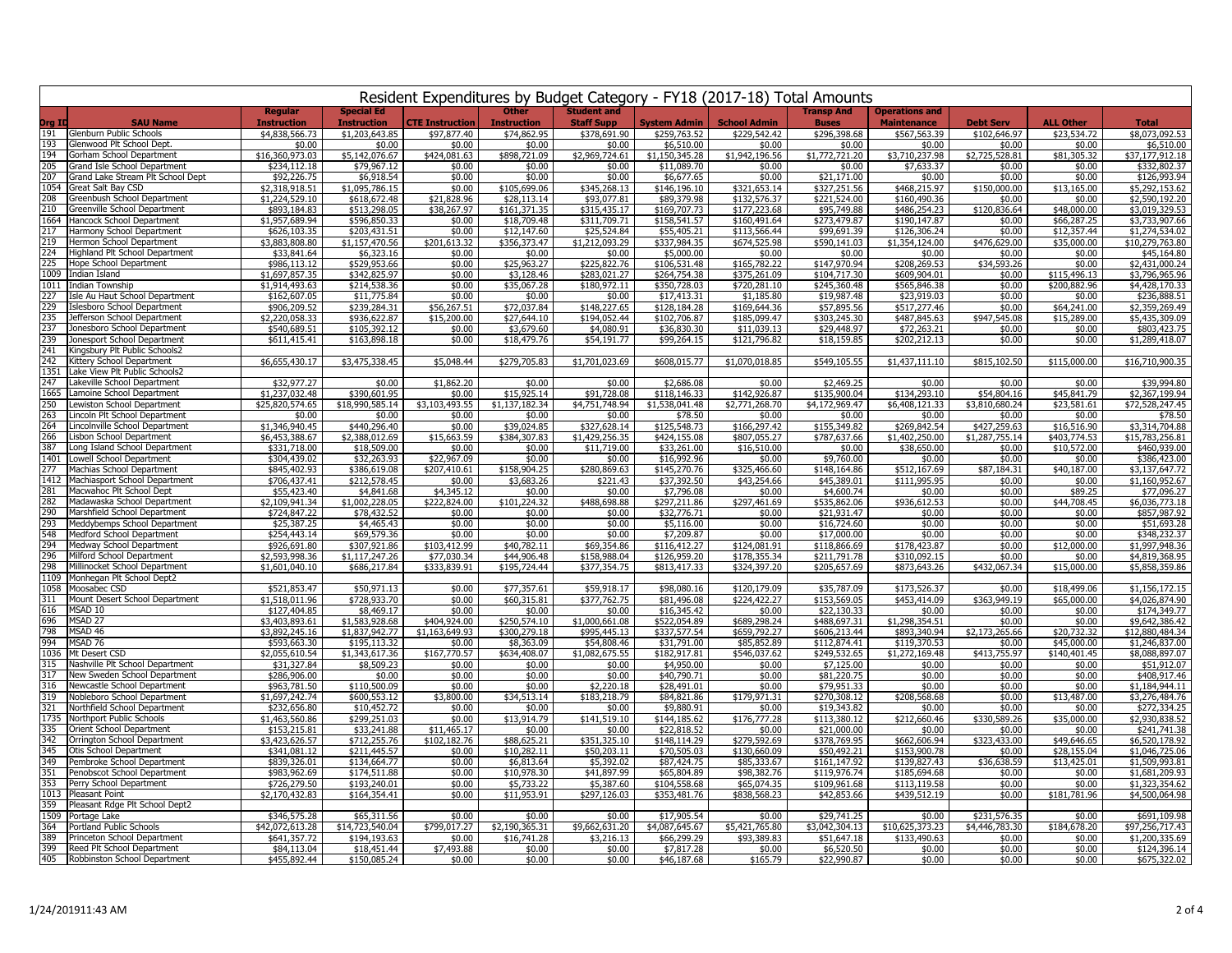| Resident Expenditures by Budget Category - FY18 (2017-18) Total Amounts  |                                  |                                         |                                |                                    |                                         |                               |                               |                                   |                                             |                                |                             |                                   |
|--------------------------------------------------------------------------|----------------------------------|-----------------------------------------|--------------------------------|------------------------------------|-----------------------------------------|-------------------------------|-------------------------------|-----------------------------------|---------------------------------------------|--------------------------------|-----------------------------|-----------------------------------|
| <b>SAU Name</b><br>Drg ID                                                | Regular<br><b>Instruction</b>    | <b>Special Ed</b><br><b>Instruction</b> | CTE Instruction                | <b>Other</b><br><b>Instruction</b> | <b>Student and</b><br><b>Staff Supp</b> | <b>System Admin</b>           | <b>School Admin</b>           | <b>Transp And</b><br><b>Buses</b> | <b>Operations and</b><br><b>Maintenance</b> | <b>Debt Serv</b>               | <b>ALL Other</b>            | <b>Total</b>                      |
| 191<br>Glenburn Public Schools                                           | \$4,838,566.73                   | \$1,203,643,85                          | \$97,877.40                    | \$74,862.95                        | \$378,691.90                            | \$259.763.52                  | \$229,542.42                  | \$296.398.68                      | \$567.563.39                                | \$102,646.97                   | \$23,534.72                 | \$8.073.092.53                    |
| Glenwood Plt School Dept<br>193<br>194<br>Gorham School Department       | \$0.00                           | \$0.00                                  | \$0.00                         | \$0.00                             | \$0.00                                  | \$6,510.00                    | \$0.00                        | \$0.00<br>\$1,772,721,20          | \$0.00                                      | \$0.00                         | \$0.00                      | \$6,510.00                        |
| 205<br>Grand Isle School Department                                      | \$16,360,973.03<br>\$234,112.18  | \$5,142,076.67<br>\$79,967.12           | \$424,081.63<br>\$0.00         | \$898,721.09<br>\$0.00             | \$2,969,724.61<br>\$0.00                | \$1,150,345.28<br>\$11,089.70 | \$1,942,196.56<br>\$0.00      | \$0.00                            | \$3,710,237.98<br>\$7,633.37                | \$2,725,528.81<br>\$0.00       | \$81,305.32<br>\$0.00       | \$37,177,912.18<br>\$332,802.37   |
| 207<br>Grand Lake Stream Plt School Dept                                 | \$92,226.75                      | \$6,918.54                              | \$0.00                         | \$0.00                             | \$0.00                                  | \$6,677.65                    | \$0.00                        | \$21,171.00                       | \$0.00                                      | \$0.00                         | \$0.00                      | \$126,993.94                      |
| 1054<br>Great Salt Bay CSD                                               | \$2,318,918.51                   | \$1,095,786.15                          | \$0.00                         | \$105,699.06                       | \$345,268.13                            | \$146,196.10                  | \$321,653.14                  | \$327,251.56                      | \$468,215.97                                | \$150,000.00                   | \$13,165.00                 | \$5,292,153.62                    |
| 208<br>Greenbush School Department                                       | \$1,224,529.10                   | \$618,672.48                            | \$21,828.96                    | \$28,113.14                        | \$93,077.81                             | \$89,379.98                   | \$132,576.37                  | \$221,524.00                      | \$160,490.36                                | \$0.00                         | \$0.00                      | \$2,590,192.20                    |
| 210<br>Greenville School Department<br>1664<br>Hancock School Department | \$893,184.83                     | \$513,298.05                            | \$38,267.97                    | \$161,371.35                       | \$315,435.17                            | \$169,707.73                  | \$177,223.68                  | \$95,749.88                       | \$486,254.23<br>\$190,147.87                | \$120,836.64                   | \$48,000.00                 | \$3,019,329.53                    |
| 217<br>Harmony School Department                                         | \$1,957,689.94<br>\$626,103.35   | \$596,850.33<br>\$203,431.51            | \$0.00<br>\$0.00               | \$18,709.48<br>\$12,147.60         | \$311,709.71<br>\$25,524.84             | \$158,541.57<br>\$55,405.21   | \$160,491.64<br>\$113,566.44  | \$273,479.87<br>\$99,691.39       | \$126,306.24                                | \$0.00<br>\$0.00               | \$66,287.25<br>\$12,357.44  | \$3,733,907.66<br>\$1,274,534.02  |
| 219<br>Hermon School Department                                          | \$3,883,808.80                   | \$1,157,470.56                          | \$201,613.32                   | \$356,373.47                       | \$1,212,093.29                          | \$337,984.35                  | \$674,525.98                  | \$590,141.03                      | \$1,354,124.00                              | \$476,629.00                   | \$35,000.00                 | \$10,279,763.80                   |
| 224<br>Highland Plt School Department                                    | \$33,841.64                      | \$6,323.16                              | \$0.00                         | \$0.00                             | \$0.00                                  | \$5,000.00                    | \$0.00                        | \$0.00                            | \$0.00                                      | \$0.00                         | \$0.00                      | \$45,164.80                       |
| 225<br>Hope School Department                                            | \$986,113.12                     | \$529,953.66                            | \$0.00                         | \$25,963.27                        | \$225,822.76                            | \$106,531.48                  | \$165,782.22                  | \$147,970.94                      | \$208,269.53                                | \$34,593.26                    | \$0.00                      | \$2,431,000.24                    |
| 1009 Indian Island                                                       | \$1,697,857.35                   | \$342,825.97                            | \$0.00                         | \$3,128.46                         | \$283.021.27                            | \$264,754.38                  | \$375,261.09                  | \$104,717.30                      | \$609,904.01                                | \$0.00                         | \$115,496.13                | \$3,796,965.96                    |
| 1011<br>Indian Township<br>Isle Au Haut School Department<br>227         | \$1,914,493.63<br>\$162,607.05   | \$214,538.36<br>\$11,775.84             | \$0.00<br>\$0.00               | \$35,067.28<br>\$0.00              | \$180,972.11<br>\$0.00                  | \$350,728.03<br>\$17,413.31   | \$720,281.10<br>\$1,185.80    | \$245,360.48<br>\$19,987.48       | \$565,846.38<br>\$23,919.03                 | \$0.00<br>\$0.00               | \$200,882.96<br>\$0.00      | \$4,428,170.33<br>\$236,888.51    |
| 229<br>Islesboro School Department                                       | \$906,209.52                     | \$239,284.31                            | \$56,267.51                    | \$72,037.84                        | \$148,227.65                            | \$128,184.28                  | \$169,644.36                  | \$57,895.56                       | \$517,277.46                                | \$0.00                         | \$64,241.00                 | \$2,359,269.49                    |
| 235<br>Jefferson School Department                                       | \$2,220,058.33                   | \$936,622.87                            | \$15,200.00                    | \$27,644.10                        | \$194,052.44                            | \$102,706.87                  | \$185,099.47                  | \$303,245.30                      | \$487,845.63                                | \$947,545.08                   | \$15,289.00                 | \$5,435,309.09                    |
| 237<br>Jonesboro School Department                                       | \$540,689.51                     | \$105,392.12                            | \$0.00                         | \$3,679.60                         | \$4,080.91                              | \$36,830.30                   | \$11,039.13                   | \$29,448.97                       | \$72,263.21                                 | \$0.00                         | \$0.00                      | \$803,423.75                      |
| 239<br>Jonesport School Department                                       | \$611,415.41                     | \$163,898.18                            | \$0.00                         | \$18,479.76                        | \$54,191.77                             | \$99,264.15                   | \$121,796.82                  | \$18,159.85                       | \$202,212.13                                | \$0.00                         | \$0.00                      | \$1,289,418.07                    |
| 241<br>Kingsbury Plt Public Schools2<br>242<br>Kittery School Department | \$6,655,430.17                   | \$3,475,338.45                          | \$5,048.44                     | \$279,705.83                       | \$1,701,023.69                          | \$608,015.77                  | \$1,070,018.85                | \$549,105.55                      | \$1,437,111.10                              | \$815,102.50                   | \$115,000.00                | \$16,710,900.35                   |
| 1351<br>Lake View Plt Public Schools2                                    |                                  |                                         |                                |                                    |                                         |                               |                               |                                   |                                             |                                |                             |                                   |
| 247<br>Lakeville School Department                                       | \$32,977.27                      | \$0.00                                  | \$1,862.20                     | \$0.00                             | \$0.00                                  | \$2,686.08                    | \$0.00                        | \$2,469.25                        | \$0.00                                      | \$0.00                         | \$0.00                      | \$39,994.80                       |
| 1665<br>Lamoine School Department                                        | \$1,237,032.48                   | \$390,601.95                            | \$0.00                         | \$15,925.14                        | \$91,728.08                             | \$118,146.33                  | \$142,926.87                  | \$135,900.04                      | \$134,293.10                                | \$54,804.16                    | \$45,841.79                 | \$2,367,199.94                    |
| 250<br>Lewiston School Department                                        | \$25,820,574.65                  | \$18,990,585.14                         | \$3,103,493.55                 | \$1,137,182.34                     | \$4,751,748.94                          | \$1,538,041.48                | \$2,771,268.70                | \$4,172,969.47                    | \$6,408,121.33                              | \$3,810,680.24                 | \$23,581.61                 | \$72,528,247.45                   |
| 263<br>Lincoln Plt School Department<br>264                              | \$0.00                           | \$0.00                                  | \$0.00                         | \$0.00                             | \$0.00                                  | \$78.50                       | \$0.00                        | \$0.00                            | \$0.00                                      | \$0.00                         | \$0.00                      | \$78.50                           |
| Lincolnville School Department<br>266<br>Lisbon School Department        | \$1,346,940.45<br>\$6,453,388.67 | \$440,296.40<br>\$2,388,012.69          | \$0.00<br>\$15,663.59          | \$39,024.85<br>\$384,307.83        | \$327,628.14<br>\$1,429,256.35          | \$125,548.73<br>\$424,155.08  | \$166,297.42<br>\$807,055.27  | \$155,349.82<br>\$787,637.66      | \$269,842.54<br>\$1,402,250.00              | \$427,259.63<br>\$1,287,755.14 | \$16,516.90<br>\$403,774.53 | \$3,314,704.88<br>\$15,783,256.81 |
| 387<br>Long Island School Department                                     | \$331,718.00                     | \$18,509.00                             | \$0.00                         | \$0.00                             | \$11,719.00                             | \$33,261.00                   | \$16,510.00                   | \$0.00                            | \$38,650.00                                 | \$0.00                         | \$10,572.00                 | \$460,939.00                      |
| 1401<br>Lowell School Department                                         | \$304,439.02                     | \$32,263.93                             | \$22,967.09                    | \$0.00                             | \$0.00                                  | \$16,992.96                   | \$0.00                        | \$9,760.00                        | \$0.00                                      | \$0.00                         | \$0.00                      | \$386,423.00                      |
| 277<br>Machias School Department                                         | \$845,402.93                     | \$386,619.08                            | \$207,410.61                   | \$158,904.25                       | \$280,869.63                            | \$145,270.76                  | \$325,466.60                  | \$148,164.86                      | \$512,167.69                                | \$87,184.31                    | \$40,187,00                 | \$3,137,647.72                    |
| 1412<br>Machiasport School Department                                    | \$706,437.41                     | \$212,578.45                            | \$0.00                         | \$3,683.26                         | \$221.43                                | \$37,392.50                   | \$43,254.66                   | \$45,389.01                       | \$111,995.95                                | \$0.00                         | \$0.00                      | \$1,160,952.67                    |
| 281<br>Macwahoc Plt School Dept<br>282<br>Madawaska School Department    | \$55,423.40<br>\$2,109,941.34    | \$4,841.68<br>\$1,002,228.05            | \$4,345.12<br>\$222,824.00     | \$0.00<br>\$101,224.32             | \$0.00<br>\$488,698.88                  | \$7,796.08<br>\$297,211.86    | \$0.00<br>\$297,461.69        | \$4,600.74<br>\$535,862.06        | \$0.00<br>\$936.612.53                      | \$0.00<br>\$0.00               | \$89.25<br>\$44,708.45      | \$77,096.27<br>\$6,036,773.18     |
| 290<br>Marshfield School Department                                      | \$724,847.22                     | \$78,432.52                             | \$0.00                         | \$0.00                             | \$0.00                                  | \$32,776.71                   | \$0.00                        | \$21,931.47                       | \$0.00                                      | \$0.00                         | \$0.00                      | \$857,987.92                      |
| 293<br>Meddybemps School Department                                      | \$25,387.25                      | \$4,465.43                              | \$0.00                         | \$0.00                             | \$0.00                                  | \$5,116.00                    | \$0.00                        | \$16,724.60                       | \$0.00                                      | \$0.00                         | \$0.00                      | \$51,693.28                       |
| 548<br>Medford School Department                                         | \$254,443.14                     | \$69,579.36                             | \$0.00                         | \$0.00                             | \$0.00                                  | \$7,209.87                    | \$0.00                        | \$17,000.00                       | \$0.00                                      | \$0.00                         | \$0.00                      | \$348,232.37                      |
| 294<br>Medway School Department<br>296                                   | \$926,691.80                     | \$307,921.86                            | \$103,412.99                   | \$40,782.11                        | \$69,354.86                             | \$116,412.27                  | \$124,081.91                  | \$118,866.69                      | \$178,423.87                                | \$0.00                         | \$12,000.00                 | \$1,997,948.36                    |
| Milford School Department<br>298<br>Millinocket School Department        | \$2,593,998.36<br>\$1,601,040.10 | \$1,117,247.26<br>\$686,217.84          | \$77,030.34<br>\$333,839.91    | \$44,906.48<br>\$195,724.44        | \$158,988.04<br>\$377,354.75            | \$126,959.20<br>\$813,417.33  | \$178,355.34<br>\$324,397.20  | \$211,791.78<br>\$205,657.69      | \$310,092.15<br>\$873,643.26                | \$0.00<br>\$432,067.34         | \$0.00<br>\$15,000.00       | \$4,819,368.95<br>\$5,858,359.86  |
| 1109<br>Monhegan Plt School Dept2                                        |                                  |                                         |                                |                                    |                                         |                               |                               |                                   |                                             |                                |                             |                                   |
| 1058<br>Moosabec CSD                                                     | \$521,853.47                     | \$50,971.13                             | \$0.00                         | \$77,357.61                        | \$59,918.17                             | \$98,080.16                   | \$120,179.09                  | \$35,787.09                       | \$173,526.37                                | \$0.00                         | \$18,499.06                 | \$1,156,172.15                    |
| 311<br>Mount Desert School Department                                    | \$1,518,011.96                   | \$728,933.70                            | \$0.00                         | \$60,315.81                        | \$377.762.75                            | \$81,496.08                   | \$224,422.27                  | \$153,569.05                      | \$453,414.09                                | \$363.949.19                   | \$65,000.00                 | \$4,026,874.90                    |
| MSAD 10<br>616                                                           | \$127,404.85                     | \$8,469.17                              | \$0.00                         | \$0.00                             | \$0.00                                  | \$16,345.42                   | \$0.00                        | \$22,130.33                       | \$0.00                                      | \$0.00                         | \$0.00                      | \$174,349.77                      |
| 696<br>MSAD 27<br>798<br>MSAD 46                                         | \$3,403,893.61<br>\$3,892,245.16 | \$1,583,928.68<br>\$1,837,942.77        | \$404,924.00<br>\$1,163,649.93 | \$250,574.10<br>\$300,279.18       | \$1,000,661.08<br>\$995,445.13          | \$522,054.89<br>\$337,577.54  | \$689,298.24<br>\$659,792.27  | \$488,697.31<br>\$606,213.44      | \$1,298,354.51<br>\$893,340.94              | \$0.00<br>\$2,173,265.66       | \$0.00<br>\$20,732.32       | \$9,642,386.42<br>\$12,880,484.34 |
| 994<br>MSAD 76                                                           | \$593,663.30                     | \$195,113.32                            | \$0.00                         | \$8,363.09                         | \$54,808.46                             | \$31,791.00                   | \$85,852.89                   | \$112,874.41                      | \$119,370.53                                | \$0.00                         | \$45,000.00                 | \$1,246,837.00                    |
| 1036<br>Mt Desert CSD                                                    | \$2,055,610.54                   | \$1,343,617.36                          | \$167,770.57                   | \$634,408.07                       | \$1,082,675.55                          | \$182,917.81                  | \$546,037.62                  | \$249,532.65                      | \$1,272,169.48                              | \$413,755.97                   | \$140,401.45                | \$8,088,897.07                    |
| 315<br>Nashville Plt School Department                                   | \$31,327.84                      | \$8,509.23                              | \$0.00                         | \$0.00                             | \$0.00                                  | \$4,950.00                    | \$0.00                        | \$7,125.00                        | \$0.00                                      | \$0.00                         | \$0.00                      | \$51,912.07                       |
| 317<br>New Sweden School Department<br>316                               | \$286,906.00                     | \$0.00                                  | \$0.00                         | \$0.00                             | \$0.00                                  | \$40,790.71                   | \$0.00                        | \$81,220.75                       | \$0.00                                      | \$0.00                         | \$0.00                      | \$408,917.46                      |
| Newcastle School Department<br>319<br>Nobleboro School Department        | \$963,781.50<br>\$1,697,242.74   | \$110,500.09<br>\$600,553.12            | \$0.00<br>\$3,800.00           | \$0.00<br>\$34,513.14              | \$2,220.18<br>\$183,218.79              | \$28,491.01<br>\$84,821.86    | \$0.00<br>\$179,971.31        | \$79,951.33<br>\$270,308.12       | \$0.00<br>\$208,568.68                      | \$0.00<br>\$0.00               | \$0.00<br>\$13,487.00       | \$1,184,944.11<br>\$3,276,484.76  |
| 321<br>Northfield School Department                                      | \$232,656.80                     | \$10,452.72                             | \$0.00                         | \$0.00                             | \$0.00                                  | \$9,880.91                    | \$0.00                        | \$19,343.82                       | \$0.00                                      | \$0.00                         | \$0.00                      | \$272,334.25                      |
| 1735<br>Northport Public Schools                                         | \$1,463,560.86                   | \$299,251.03                            | \$0.00                         | \$13,914.79                        | \$141,519.10                            | \$144,185.62                  | \$176,777.28                  | \$113,380.12                      | \$212,660.46                                | \$330,589.26                   | \$35,000.00                 | \$2,930,838.52                    |
| 335<br>Orient School Department                                          | \$153,215.81                     | \$33,241.88                             | \$11,465.17                    | \$0.00                             | \$0.00                                  | \$22,818.52                   | \$0.00                        | \$21,000.00                       | \$0.00                                      | \$0.00                         | \$0.00                      | \$241,741.38                      |
| 342<br>Orrington School Department                                       | \$3,423,626.57                   | \$712,255.76                            | \$102,182.76                   | \$88,625.21                        | \$351,325.10                            | \$148,114.29                  | \$279,592.69                  | \$378,769.95                      | \$662,606.94                                | \$323,433.00                   | \$49,646.65                 | \$6,520,178.92                    |
| 345<br>Otis School Department<br>349<br>Pembroke School Department       | \$341,081.12<br>\$839,326.01     | \$211,445.57<br>\$134,664.77            | \$0.00<br>\$0.00               | \$10,282.11<br>\$6,813.64          | \$50,203.11<br>\$5,392.02               | \$70,505.03<br>\$87,424.75    | \$130,660.09<br>\$85,333.67   | \$50,492.21<br>\$161.147.92       | \$153,900.78<br>\$139,827.43                | \$0.00<br>\$36,638.59          | \$28,155.04<br>\$13,425.01  | \$1,046,725.06<br>\$1,509,993.81  |
| 351<br>Penobscot School Department                                       | \$983.962.69                     | \$174.511.88                            | \$0.00                         | \$10,978.30                        | \$41,897.99                             | \$65,804.89                   | \$98,382,76                   | \$119,976.74                      | \$185,694,68                                | \$0.00                         | \$0.00                      | \$1,681,209.93                    |
| 353<br>Perry School Department                                           | \$726,279.50                     | \$193,240.01                            | \$0.00                         | \$5,733.22                         | \$5,387.60                              | \$104,558.68                  | \$65,074.35                   | \$109,961.68                      | \$113,119.58                                | \$0.00                         | \$0.00                      | \$1,323,354.62                    |
| 1013<br>Pleasant Point                                                   | \$2,170,432.83                   | \$164,354.41                            | \$0.00                         | \$11,953.91                        | \$297.126.03                            | \$353,481.76                  | \$838,568.23                  | \$42,853.66                       | \$439,512.19                                | \$0.00                         | \$181,781.96                | \$4,500,064.98                    |
| 359<br>Pleasant Rdge Plt School Dept2                                    |                                  |                                         |                                |                                    |                                         |                               |                               |                                   |                                             |                                |                             |                                   |
| 1509<br>Portage Lake<br>364<br>Portland Public Schools                   | \$346,575.28                     | \$65,311.56                             | \$0.00                         | \$0.00                             | \$0.00                                  | \$17,905.54                   | \$0.00                        | \$29,741.25                       | \$0.00                                      | \$231,576.35                   | \$0.00                      | \$691,109.98                      |
| 389<br>Princeton School Department                                       | \$42,072,613.28<br>\$641,357,72  | \$14,723,540.04<br>\$194,193.63         | \$799,017.27<br>\$0.00         | \$2,190,365.31<br>\$16,741.28      | \$9,662,631.20<br>\$3,216.13            | \$4,087,645.67<br>\$66,299.29 | \$5,421,765.80<br>\$93,389.83 | \$3,042,304.13<br>\$51,647.18     | \$10,625,373.23<br>\$133,490.63             | \$4,446,783,30<br>\$0.00       | \$184,678.20<br>\$0.00      | \$97,256,717.43<br>\$1,200,335.69 |
| 399<br>Reed Plt School Department                                        | \$84,113.04                      | \$18,451.44                             | \$7,493.88                     | \$0.00                             | \$0.00                                  | \$7,817.28                    | \$0.00                        | \$6,520.50                        | \$0.00                                      | \$0.00                         | \$0.00                      | \$124,396.14                      |
| 405<br>Robbinston School Department                                      | \$455,892.44                     | \$150,085.24                            | \$0.00                         | \$0.00                             | \$0.00                                  | \$46,187.68                   | \$165.79                      | \$22,990.87                       | \$0.00                                      | \$0.00                         | \$0.00                      | \$675,322.02                      |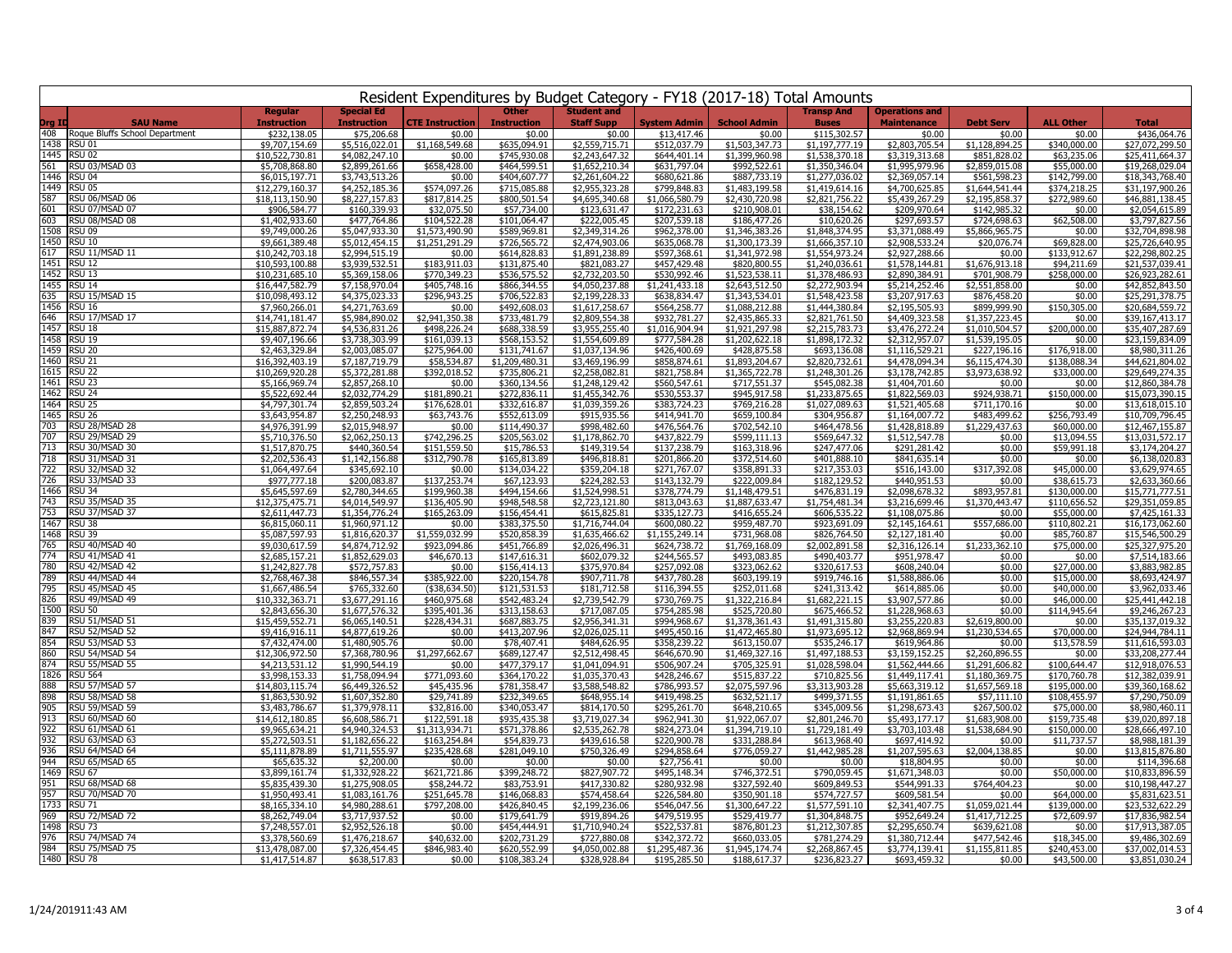|             | Resident Expenditures by Budget Category - FY18 (2017-18) Total Amounts |                                      |                                         |                                  |                                    |                                         |                                |                                  |                                   |                                             |                                  |                              |                                    |
|-------------|-------------------------------------------------------------------------|--------------------------------------|-----------------------------------------|----------------------------------|------------------------------------|-----------------------------------------|--------------------------------|----------------------------------|-----------------------------------|---------------------------------------------|----------------------------------|------------------------------|------------------------------------|
| Org ID      | <b>SAU Name</b>                                                         | <b>Regular</b><br><b>Instruction</b> | <b>Special Ed</b><br><b>Instruction</b> | <b>CTE Instruction</b>           | <b>Other</b><br><b>Instruction</b> | <b>Student and</b><br><b>Staff Supp</b> | <b>System Admin</b>            | <b>School Admin</b>              | <b>Transp And</b><br><b>Buses</b> | <b>Operations and</b><br><b>Maintenance</b> | <b>Debt Serv</b>                 | <b>ALL Other</b>             | <b>Total</b>                       |
|             | 408 Roque Bluffs School Department                                      | \$232,138.05                         | \$75,206.68                             | \$0.00                           | \$0.00                             | \$0.00                                  | \$13,417.46                    | \$0.00                           | \$115,302.57                      | \$0.00                                      | \$0.00                           | \$0.00                       | \$436.064.76                       |
|             | 1438 RSU 01                                                             | \$9,707,154.69                       | \$5,516,022.01                          | \$1,168,549.68                   | \$635,094.91                       | \$2,559,715.71                          | \$512,037.79                   | \$1,503,347,73                   | \$1,197,777,19                    | \$2,803,705.54                              | \$1,128,894.25                   | \$340,000.00                 | \$27,072,299.50                    |
|             | 1445 RSU 02<br>561 RSU 03/MSAD 03                                       | \$10,522,730.81                      | \$4,082,247.10                          | \$0.00<br>\$658,428.00           | \$745,930.08<br>\$464,599.51       | \$2,243,647.32<br>\$1,652,210.34        | \$644,401.14                   | \$1,399,960.98                   | \$1,538,370.18<br>\$1,350,346.04  | \$3,319,313.68                              | \$851,828.02<br>\$2,859,015.08   | \$63,235.06                  | \$25,411,664.37                    |
|             | 1446 RSU 04                                                             | \$5,708,868.80<br>\$6,015,197.71     | \$2,899,261.66<br>\$3,743,513.26        | \$0.00                           | \$404,607.77                       | \$2,261,604.22                          | \$631,797.04<br>\$680,621.86   | \$992,522.61<br>\$887,733.19     | \$1,277,036.02                    | \$1,995,979.96<br>\$2,369,057.14            | \$561,598.23                     | \$55,000.00<br>\$142,799.00  | \$19,268,029.04<br>\$18,343,768.40 |
|             | 1449 RSU 05                                                             | \$12,279,160.37                      | \$4,252,185.36                          | \$574,097.26                     | \$715,085.88                       | \$2,955,323.28                          | \$799,848.83                   | \$1,483,199.58                   | \$1,419,614.16                    | \$4,700,625.85                              | \$1,644,541.44                   | \$374,218.25                 | \$31,197,900.26                    |
|             | 587 RSU 06/MSAD 06                                                      | \$18,113,150.90                      | \$8,227,157.83                          | \$817,814.25                     | \$800,501.54                       | \$4,695,340.68                          | \$1,066,580.79                 | \$2,430,720.98                   | \$2,821,756.22                    | \$5,439,267.29                              | \$2,195,858.37                   | \$272,989.60                 | \$46,881,138.45                    |
| 601         | RSU 07/MSAD 07                                                          | \$906,584.77                         | \$160,339.93                            | \$32,075.50                      | \$57,734.00                        | \$123,631.47                            | \$172,231.63                   | \$210,908.01                     | \$38,154.62                       | \$209,970.64                                | \$142,985.32                     | \$0.00                       | \$2,054,615.89                     |
| 603<br>1508 | RSU 08/MSAD 08<br>RSU <sub>09</sub>                                     | \$1,402,933.60                       | \$477.764.86                            | \$104,522.28                     | \$101,064.47                       | \$222,005.45                            | \$207,539.18                   | \$186,477.26                     | \$10,620.26                       | \$297,693.57                                | \$724,698.63                     | \$62,508.00                  | \$3,797,827.56                     |
|             | 1450 RSU 10                                                             | \$9,749,000.26<br>\$9,661,389.48     | \$5,047,933.30<br>\$5,012,454.15        | \$1,573,490.90<br>\$1,251,291.29 | \$589,969.81<br>\$726,565.72       | \$2,349,314.26<br>\$2,474,903.06        | \$962,378.00<br>\$635,068.78   | \$1,346,383.26<br>\$1,300,173.39 | \$1,848,374.95<br>\$1,666,357.10  | \$3,371,088.49<br>\$2,908,533.24            | \$5,866,965.75<br>\$20,076.74    | \$0.00<br>\$69,828.00        | \$32,704,898.98<br>\$25,726,640.95 |
|             | 617 RSU 11/MSAD 11                                                      | \$10,242,703.18                      | \$2,994,515.19                          | \$0.00                           | \$614,828.83                       | \$1,891,238.89                          | \$597,368.61                   | \$1,341,972.98                   | \$1,554,973.24                    | \$2,927,288.66                              | \$0.00                           | \$133,912.67                 | \$22,298,802.25                    |
|             | 1451 RSU 12                                                             | \$10,593,100.88                      | \$3,939,532.51                          | \$183,911.03                     | \$131,875.40                       | \$821,083.27                            | \$457,429.48                   | \$820,800.55                     | \$1,240,036.61                    | \$1,578,144.81                              | \$1,676,913.18                   | \$94,211.69                  | \$21,537,039.41                    |
|             | 1452 RSU 13                                                             | \$10,231,685.10                      | \$5,369,158.06                          | \$770,349.23                     | \$536,575.52                       | \$2,732,203.50                          | \$530,992.46                   | \$1,523,538.11                   | \$1,378,486.93                    | \$2,890,384.91                              | \$701,908.79                     | \$258,000.00                 | \$26,923,282.61                    |
|             | 1455 RSU 14                                                             | \$16,447,582.79                      | \$7,158,970.04                          | \$405,748.16                     | \$866,344.55                       | \$4,050,237.88                          | \$1,241,433.18                 | \$2,643,512.50                   | \$2,272,903.94                    | \$5,214,252.46                              | \$2,551,858.00                   | \$0.00                       | \$42,852,843.50                    |
|             | 635 RSU 15/MSAD 15<br>1456 RSU 16                                       | \$10.098.493.12<br>\$7,960,266.01    | \$4,375,023,33<br>\$4,271,763.69        | \$296,943.25<br>\$0.00           | \$706,522.83<br>\$492,608.03       | \$2,199,228.33<br>\$1,617,258.67        | \$638,834.47<br>\$564,258.77   | \$1,343,534.01<br>\$1,088,212.88 | \$1,548,423.58<br>\$1,444,380.84  | \$3,207,917.63<br>\$2,195,505.93            | \$876,458.20<br>\$899,999.90     | \$0.00<br>\$150,305.00       | \$25,291,378.75<br>\$20,684,559.72 |
|             | 646 RSU 17/MSAD 17                                                      | \$14,741,181.47                      | \$5,984,890.02                          | \$2,941,350.38                   | \$733,481.79                       | \$2,809,554.38                          | \$932,781.27                   | \$2,435,865.33                   | \$2,821,761.50                    | \$4,409,323.58                              | \$1,357,223.45                   | \$0.00                       | \$39,167,413.17                    |
|             | 1457 RSU 18                                                             | \$15,887,872.74                      | \$4,536,831.26                          | \$498,226.24                     | \$688,338.59                       | \$3,955,255.40                          | \$1,016,904.94                 | \$1,921,297.98                   | \$2,215,783.73                    | \$3,476,272.24                              | \$1,010,504.57                   | \$200,000.00                 | \$35,407,287.69                    |
|             | 1458 RSU 19                                                             | \$9,407,196.66                       | \$3,738,303.99                          | \$161,039.13                     | \$568,153.52                       | \$1,554,609.89                          | \$777,584.28                   | \$1,202,622.18                   | \$1,898,172.32                    | \$2,312,957.07                              | \$1,539,195.05                   | \$0.00                       | \$23,159,834.09                    |
|             | 1459 RSU 20                                                             | \$2,463,329.84                       | \$2,003,085.07                          | \$275,964.00                     | \$131,741.67                       | \$1,037,134.96                          | \$426,400.69                   | \$428,875.58                     | \$693,136.08                      | \$1,116,529.21                              | \$227,196.16                     | \$176,918.00                 | \$8,980,311.26                     |
|             | 1460 RSU 21<br>1615 RSU 22                                              | \$16,392,403.19<br>\$10,269,920.28   | \$7,187,719.79<br>\$5,372,281.88        | \$58,534.87<br>\$392,018.52      | \$1,209,480.31<br>\$735,806.21     | \$3,469,196.99<br>\$2,258,082.81        | \$858,874.61<br>\$821,758.84   | \$1,893,204.67<br>\$1,365,722.78 | \$2,820,732.61<br>\$1,248,301.26  | \$4,478,094.34<br>\$3,178,742.85            | \$6,115,474.30<br>\$3,973,638.92 | \$138,088.34<br>\$33,000.00  | \$44,621,804.02<br>\$29,649,274.35 |
|             | 1461 RSU 23                                                             | \$5,166,969.74                       | \$2,857,268.10                          | \$0.00                           | \$360,134.56                       | \$1,248,129.42                          | \$560,547.61                   | \$717,551.37                     | \$545,082.38                      | \$1,404,701.60                              | \$0.00                           | \$0.00                       | \$12,860,384.78                    |
|             | 1462 RSU 24                                                             | \$5,522,692.44                       | \$2,032,774.29                          | \$181,890.21                     | \$272,836.11                       | \$1,455,342.76                          | \$530,553.37                   | \$945,917.58                     | \$1,233,875.65                    | \$1,822,569.03                              | \$924,938.71                     | \$150,000.00                 | \$15,073,390.15                    |
|             | 1464 RSU 25                                                             | \$4,797,301.74                       | \$2,859,503.24                          | \$176,628.01                     | \$332,616.87                       | \$1,039,359.26                          | \$383,724.23                   | \$769,216.28                     | \$1,027,089.63                    | \$1,521,405.68                              | \$711,170.16                     | \$0.00                       | \$13,618,015.10                    |
|             | 1465 RSU 26                                                             | \$3,643,954.87                       | \$2,250,248.93                          | \$63,743.76                      | \$552,613.09                       | \$915,935.56                            | \$414,941.70                   | \$659,100.84                     | \$304,956.87                      | \$1,164,007.72                              | \$483,499.62                     | \$256,793.49                 | \$10,709,796.45                    |
| 707         | 703 RSU 28/MSAD 28<br>RSU 29/MSAD 29                                    | \$4,976,391.99<br>\$5,710,376.50     | \$2,015,948.97<br>\$2,062,250.13        | \$0.00<br>\$742,296.25           | \$114,490.37<br>\$205,563.02       | \$998,482.60<br>\$1,178,862.70          | \$476,564.76<br>\$437,822.79   | \$702,542.10<br>\$599,111.13     | \$464,478.56<br>\$569,647.32      | \$1,428,818.89<br>\$1,512,547.78            | \$1,229,437.63<br>\$0.00         | \$60,000.00<br>\$13,094.55   | \$12,467,155.87<br>\$13,031,572.17 |
| 713         | RSU 30/MSAD 30                                                          | \$1,517,870.75                       | \$440,360.54                            | \$151,559.50                     | \$15,786.53                        | \$149,319.54                            | \$137,238.79                   | \$163,318.96                     | \$247,477.06                      | \$291,281.42                                | \$0.00                           | \$59,991.18                  | \$3,174,204.27                     |
| 718         | RSU 31/MSAD 31                                                          | \$2,202,536.43                       | \$1,142,156.88                          | \$312,790.78                     | \$165,813.89                       | \$496,818.81                            | \$201,866,20                   | \$372,514.60                     | \$401.888.10                      | \$841,635.14                                | \$0.00                           | \$0.00                       | \$6,138,020.83                     |
| 722         | RSU 32/MSAD 32                                                          | \$1,064,497.64                       | \$345,692.10                            | \$0.00                           | \$134,034.22                       | \$359,204.18                            | \$271,767.07                   | \$358,891.33                     | \$217,353.03                      | \$516,143.00                                | \$317,392.08                     | \$45,000.00                  | \$3,629,974.65                     |
|             | 726 RSU 33/MSAD 33<br>1466 RSU 34                                       | \$977,777.18<br>\$5,645,597.69       | \$200,083.87<br>\$2,780,344.65          | \$137,253.74<br>\$199,960.38     | \$67,123.93<br>\$494,154.66        | \$224,282.53<br>\$1,524,998.51          | \$143,132.79<br>\$378,774.79   | \$222,009.84<br>\$1,148,479.51   | \$182,129.52                      | \$440,951.53<br>\$2,098,678.32              | \$0.00<br>\$893,957.81           | \$38,615.73<br>\$130,000.00  | \$2,633,360.66<br>\$15,771,777.51  |
|             | 743 RSU 35/MSAD 35                                                      | \$12,375,475.71                      | \$4,014,549.97                          | \$136,405.90                     | \$948,548.58                       | \$2,723,121.80                          | \$813,043.63                   | \$1,887,633.47                   | \$476,831.19<br>\$1,754,481.34    | \$3,216,699.46                              | \$1,370,443.47                   | \$110,656.52                 | \$29,351,059.85                    |
| 753         | RSU 37/MSAD 37                                                          | \$2,611,447.73                       | \$1,354,776.24                          | \$165,263.09                     | \$156,454.41                       | \$615,825.81                            | \$335,127.73                   | \$416,655.24                     | \$606,535.22                      | \$1,108,075.86                              | \$0.00                           | \$55,000.00                  | \$7,425,161.33                     |
|             | 1467 RSU 38                                                             | \$6,815,060.11                       | \$1,960,971.12                          | \$0.00                           | \$383,375.50                       | \$1,716,744.04                          | \$600,080.22                   | \$959,487.70                     | \$923,691.09                      | \$2,145,164.61                              | \$557,686.00                     | \$110,802.21                 | \$16,173,062.60                    |
| 765         | 1468 RSU 39<br>RSU 40/MSAD 40                                           | \$5,087,597.93                       | \$1,816,620.37                          | \$1,559,032.99                   | \$520,858.39                       | \$1,635,466.62                          | \$1,155,249.14                 | \$731,968.08                     | \$826,764.50                      | \$2, 127, 181.40                            | \$0.00                           | \$85,760.87                  | \$15,546,500.29                    |
| 774         | RSU 41/MSAD 41                                                          | \$9,030,617.59<br>\$2,685,157.21     | \$4,874,712.92<br>\$1,852,629.03        | \$923,094.86<br>\$46,670.13      | \$451,766.89<br>\$147,616.31       | \$2,026,496.31<br>\$602,079.32          | \$624,738.72<br>\$244,565.57   | \$1,769,168.09<br>\$493,083.85   | \$2,002,891.58<br>\$490,403.77    | \$2,316,126.14<br>\$951,978.47              | \$1,233,362.10<br>\$0.00         | \$75,000.00<br>\$0.00        | \$25,327,975.20<br>\$7,514,183.66  |
|             | 780 RSU 42/MSAD 42                                                      | \$1,242,827.78                       | \$572,757.83                            | \$0.00                           | \$156,414.13                       | \$375,970.84                            | \$257,092.08                   | \$323,062.62                     | \$320,617.53                      | \$608,240.04                                | \$0.00                           | \$27,000.00                  | \$3,883,982.85                     |
|             | 789 RSU 44/MSAD 44                                                      | \$2,768,467.38                       | \$846,557.34                            | \$385,922.00                     | \$220,154.78                       | \$907,711.78                            | \$437,780.28                   | \$603,199.19                     | \$919,746.16                      | \$1,588,886.06                              | \$0.00                           | \$15,000.00                  | \$8,693,424.97                     |
|             | 795 RSU 45/MSAD 45                                                      | \$1,667,486.54                       | \$765,332.60                            | ( \$38,634.50)                   | \$121,531.53                       | \$181,712.58                            | \$116,394.55                   | \$252,011.68                     | \$241,313.42                      | \$614,885.06                                | \$0.00                           | \$40,000.00                  | \$3,962,033.46                     |
|             | 826 RSU 49/MSAD 49<br>1500 RSU 50                                       | \$10,332,363.71<br>\$2,843,656.30    | \$3,677,291.16<br>\$1,677,576.32        | \$460,975.68<br>\$395,401.36     | \$542,483.24<br>\$313,158.63       | \$2,739,542.79<br>\$717,087.05          | \$730,769.75<br>\$754,285.98   | \$1,322,216.84<br>\$525,720.80   | \$1,682,221.15<br>\$675,466.52    | \$3,907,577.86<br>\$1,228,968.63            | \$0.00<br>\$0.00                 | \$46,000.00<br>\$114,945.64  | \$25,441,442.18<br>\$9,246,267.23  |
| 839         | RSU 51/MSAD 51                                                          | \$15,459,552.71                      | \$6,065,140.51                          | \$228,434.31                     | \$687,883.75                       | \$2,956,341.31                          | \$994,968.67                   | \$1,378,361.43                   | \$1,491,315.80                    | \$3,255,220.83                              | \$2,619,800.00                   | \$0.00                       | \$35,137,019.32                    |
| 847         | RSU 52/MSAD 52                                                          | \$9,416,916.11                       | \$4,877,619.26                          | \$0.00                           | \$413,207.96                       | \$2,026,025.11                          | \$495,450.16                   | \$1,472,465.80                   | \$1,973,695.12                    | \$2,968,869.94                              | \$1,230,534.65                   | \$70,000.00                  | \$24,944,784.11                    |
|             | 854 RSU 53/MSAD 53                                                      | \$7,432,474.00                       | \$1,480,905.76                          | \$0.00                           | \$78,407.41                        | \$484,626.95                            | \$358,239.22                   | \$613,150.07                     | \$535,246.17                      | \$619,964.86                                | \$0.00                           | \$13,578.59                  | \$11,616,593.03                    |
| 860<br>874  | RSU 54/MSAD 54                                                          | \$12,306,972.50                      | \$7,368,780.96                          | \$1,297,662.67                   | \$689,127.47                       | \$2,512,498.45                          | \$646,670.90                   | \$1,469,327.16                   | \$1,497,188.53                    | \$3,159,152.25                              | \$2,260,896.55                   | \$0.00                       | \$33,208,277.44                    |
| 1826        | RSU 55/MSAD 55<br><b>RSU 564</b>                                        | \$4,213,531.12<br>\$3,998,153.33     | \$1,990,544.19<br>\$1,758,094.94        | \$0.00<br>\$771,093.60           | \$477,379.17<br>\$364,170.22       | \$1,041,094.91<br>\$1,035,370.43        | \$506,907.24<br>\$428,246.67   | \$705,325.91<br>\$515,837.22     | \$1,028,598.04<br>\$710,825.56    | \$1,562,444.66<br>\$1,449,117.41            | \$1,291,606.82<br>\$1,180,369.75 | \$100,644.47<br>\$170,760.78 | \$12,918,076.53<br>\$12,382,039.91 |
| 888         | RSU 57/MSAD 57                                                          | \$14,803,115.74                      | \$6,449,326.52                          | \$45,435.96                      | \$781,358.47                       | \$3,588,548.82                          | \$786,993.57                   | \$2,075,597.96                   | \$3,313,903.28                    | \$5,663,319.12                              | \$1,657,569.18                   | \$195,000.00                 | \$39,360,168.62                    |
| 898         | RSU 58/MSAD 58                                                          | \$1,863,530.92                       | \$1,607,352.80                          | \$29,741.89                      | \$232,349.65                       | \$648,955.14                            | \$419,498.25                   | \$632,521.17                     | \$499,371.55                      | \$1,191,861.65                              | \$57,111.10                      | \$108,455.97                 | \$7,290,750.09                     |
| 905         | RSU 59/MSAD 59                                                          | \$3,483,786.67                       | \$1,379,978.11                          | \$32,816.00                      | \$340,053.47                       | $$8\overline{14,170.50}$                | \$295,261.70                   | \$648,210.65                     | \$345,009.56                      | \$1,298,673.43                              | \$267,500.02                     | \$75,000.00                  | \$8,980,460.11                     |
| 913         | RSU 60/MSAD 60                                                          | \$14,612,180.85                      | \$6,608,586.71                          | \$122,591.18                     | \$935,435.38                       | \$3,719,027.34                          | \$962,941.30                   | \$1,922,067.07                   | \$2,801,246.70                    | \$5,493,177.17                              | \$1,683,908.00                   | \$159,735.48                 | \$39,020,897.18                    |
| 922         | RSU 61/MSAD 61<br>932 RSU 63/MSAD 63                                    | \$9,965,634.21<br>\$5,272,503.51     | \$4,940,324.53<br>\$1,182,656.22        | \$1,313,934.71<br>\$163,254.84   | \$571,378.86<br>\$54,839.73        | \$2,535,262.78<br>\$439,616.58          | \$824,273.04<br>\$220,900.78   | \$1,394,719.10<br>\$331,288.84   | \$1,729,181.49<br>\$613,968.40    | \$3,703,103.48<br>\$697,414.92              | \$1,538,684.90<br>\$0.00         | \$150,000.00<br>\$11,737.57  | \$28,666,497.10<br>\$8,988,181.39  |
|             | 936 RSU 64/MSAD 64                                                      | \$5,111,878.89                       | \$1,711,555.97                          | \$235,428.68                     | \$281,049.10                       | \$750,326.49                            | \$294,858.64                   | \$776,059.27                     | \$1,442,985.28                    | \$1,207,595.63                              | \$2,004,138.85                   | \$0.00                       | \$13,815,876.80                    |
|             | 944 RSU 65/MSAD 65                                                      | \$65,635.32                          | \$2,200.00                              | \$0.00                           | \$0.00                             | \$0.00                                  | \$27,756.41                    | \$0.00                           | \$0.00                            | \$18,804.95                                 | \$0.00                           | \$0.00                       | \$114,396.68                       |
|             | 1469 RSU 67                                                             | \$3,899,161.74                       | \$1,332,928.22                          | \$621,721.86                     | \$399,248.72                       | \$827,907.72                            | \$495,148.34                   | \$746,372.51                     | \$790,059.45                      | \$1,671,348.03                              | \$0.00                           | \$50,000.00                  | \$10,833,896.59                    |
| 957         | 951 RSU 68/MSAD 68<br>RSU 70/MSAD 70                                    | \$5,835,439.30<br>\$1,950,493.41     | \$1,275,908.05<br>\$1,083,161.76        | \$58,244.72<br>\$251,645.78      | \$83,753.91<br>\$146,068.83        | \$417,330.82<br>\$574,458.64            | \$280,932.98<br>\$226,584.80   | \$327,592.40<br>\$350,901.18     | \$609,849.53<br>\$574,727.57      | \$544,991.33<br>\$609,581.54                | \$764,404.23<br>\$0.00           | \$0.00<br>\$64,000.00        | \$10,198,447.27<br>\$5,831,623.51  |
|             | 1733 RSU 71                                                             | \$8,165,334.10                       | \$4,980,288.61                          | \$797,208.00                     | \$426,840.45                       | \$2,199,236.06                          | \$546,047.56                   | \$1,300,647.22                   | \$1,577,591.10                    | \$2,341,407.75                              | \$1,059,021.44                   | \$139,000.00                 | \$23,532,622.29                    |
| 969         | RSU 72/MSAD 72                                                          | \$8,262,749.04                       | \$3,717,937.52                          | \$0.00                           | \$179,641.79                       | \$919,894.26                            | \$479,519.95                   | \$529,419.77                     | \$1,304,848.75                    | \$952,649.24                                | \$1,417,712.25                   | \$72,609.97                  | \$17,836,982.54                    |
| 1498        | RSU <sub>73</sub>                                                       | \$7,248,557.01                       | \$2,952,526.18                          | \$0.00                           | \$454,444.91                       | \$1,710,940.24                          | \$522,537.81                   | \$876,801.23                     | \$1,212,307.85                    | \$2,295,650.74                              | \$639,621.08                     | \$0.00                       | \$17,913,387.05                    |
| 976         | RSU 74/MSAD 74                                                          | \$3,378,560.69                       | \$1,476,218.67                          | \$40,632.00                      | \$202,731.29                       | \$727,880.08                            | \$342,372.72                   | \$660,033.05                     | \$781,274.29                      | \$1,380,712.44                              | \$477,542.46                     | \$18,345.00                  | \$9,486,302.69                     |
|             | 984 RSU 75/MSAD 75<br>1480 RSU 78                                       | \$13,478,087.00<br>\$1,417,514.87    | \$7,326,454.45<br>\$638,517.83          | \$846,983.40<br>\$0.00           | \$620,552.99<br>\$108,383.24       | \$4,050,002.88<br>\$328,928.84          | \$1,295,487.36<br>\$195,285.50 | \$1,945,174.74<br>\$188,617.37   | \$2,268,867.45<br>\$236,823.27    | \$3,774,139.41<br>\$693,459.32              | \$1,155,811.85<br>\$0.00         | \$240,453.00<br>\$43,500.00  | \$37,002,014.53<br>\$3,851,030.24  |
|             |                                                                         |                                      |                                         |                                  |                                    |                                         |                                |                                  |                                   |                                             |                                  |                              |                                    |